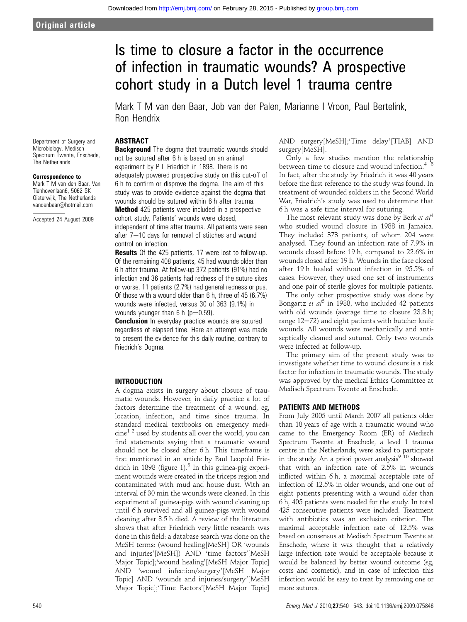# Is time to closure a factor in the occurrence of infection in traumatic wounds? A prospective cohort study in a Dutch level 1 trauma centre

Mark T M van den Baar, Job van der Palen, Marianne I Vroon, Paul Bertelink, Ron Hendrix

## ABSTRACT

Department of Surgery and Microbiology, Medisch Spectrum Twente, Enschede, The Netherlands

#### Correspondence to

Mark T M van den Baar, Van Tienhovenlaan6, 5062 SK Oisterwijk, The Netherlands vandenbaar@hotmail.com

Accepted 24 August 2009

**Background** The dogma that traumatic wounds should not be sutured after 6 h is based on an animal experiment by P L Friedrich in 1898. There is no adequately powered prospective study on this cut-off of 6 h to confirm or disprove the dogma. The aim of this study was to provide evidence against the dogma that wounds should be sutured within 6 h after trauma. **Method** 425 patients were included in a prospective

cohort study. Patients' wounds were closed, independent of time after trauma. All patients were seen after  $7-10$  days for removal of stitches and wound control on infection.

**Results** Of the 425 patients, 17 were lost to follow-up. Of the remaining 408 patients, 45 had wounds older than 6 h after trauma. At follow-up 372 patients (91%) had no infection and 36 patients had redness of the suture sites or worse. 11 patients (2.7%) had general redness or pus. Of those with a wound older than 6 h, three of 45 (6.7%) wounds were infected, versus 30 of 363 (9.1%) in wounds younger than  $6 h$  ( $p=0.59$ ).

**Conclusion** In everyday practice wounds are sutured regardless of elapsed time. Here an attempt was made to present the evidence for this daily routine, contrary to Friedrich's Dogma.

## INTRODUCTION

A dogma exists in surgery about closure of traumatic wounds. However, in daily practice a lot of factors determine the treatment of a wound, eg, location, infection, and time since trauma. In standard medical textbooks on emergency medi- $\text{cine}^{1\ 2}$  used by students all over the world, you can find statements saying that a traumatic wound should not be closed after 6 h. This timeframe is first mentioned in an article by Paul Leopold Friedrich in 1898 (figure 1).<sup>3</sup> In this guinea-pig experiment wounds were created in the triceps region and contaminated with mud and house dust. With an interval of 30 min the wounds were cleaned. In this experiment all guinea-pigs with wound cleaning up until 6 h survived and all guinea-pigs with wound cleaning after 8.5 h died. A review of the literature shows that after Friedrich very little research was done in this field: a database search was done on the MeSH terms: (wound healing[MeSH] OR 'wounds and injuries'[MeSH]) AND 'time factors'[MeSH Major Topic];'wound healing'[MeSH Major Topic] AND 'wound infection/surgery'[MeSH Major Topic] AND 'wounds and injuries/surgery'[MeSH Major Topic];'Time Factors'[MeSH Major Topic]

AND surgery[MeSH];'Time delay'[TIAB] AND surgery[MeSH].

Only a few studies mention the relationship between time to closure and wound infection.<sup>4</sup> In fact, after the study by Friedrich it was 40 years before the first reference to the study was found. In treatment of wounded soldiers in the Second World War, Friedrich's study was used to determine that 6 h was a safe time interval for suturing.

The most relevant study was done by Berk et al<sup>4</sup> who studied wound closure in 1988 in Jamaica. They included 373 patients, of whom 204 were analysed. They found an infection rate of 7.9% in wounds closed before 19 h, compared to 22.6% in wounds closed after 19 h. Wounds in the face closed after 19 h healed without infection in 95.5% of cases. However, they used one set of instruments and one pair of sterile gloves for multiple patients.

The only other prospective study was done by Bongartz et  $al^5$  in 1988, who included 42 patients with old wounds (average time to closure 23.8 h; range  $12-72$ ) and eight patients with butcher knife wounds. All wounds were mechanically and antiseptically cleaned and sutured. Only two wounds were infected at follow-up.

The primary aim of the present study was to investigate whether time to wound closure is a risk factor for infection in traumatic wounds. The study was approved by the medical Ethics Committee at Medisch Spectrum Twente at Enschede.

## PATIENTS AND METHODS

From July 2005 until March 2007 all patients older than 18 years of age with a traumatic wound who came to the Emergency Room (ER) of Medisch Spectrum Twente at Enschede, a level 1 trauma centre in the Netherlands, were asked to participate in the study. An a priori power analysis<sup>9</sup><sup>10</sup> showed that with an infection rate of 2.5% in wounds inflicted within 6 h, a maximal acceptable rate of infection of 12.5% in older wounds, and one out of eight patients presenting with a wound older than 6 h, 405 patients were needed for the study. In total 425 consecutive patients were included. Treatment with antibiotics was an exclusion criterion. The maximal acceptable infection rate of 12.5% was based on consensus at Medisch Spectrum Twente at Enschede, where it was thought that a relatively large infection rate would be acceptable because it would be balanced by better wound outcome (eg, costs and cosmetic), and in case of infection this infection would be easy to treat by removing one or more sutures.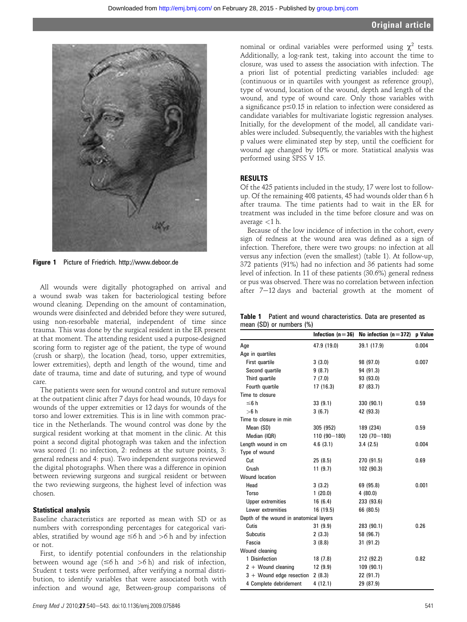

Figure 1 Picture of Friedrich. http://www.deboor.de

All wounds were digitally photographed on arrival and a wound swab was taken for bacteriological testing before wound cleaning. Depending on the amount of contamination, wounds were disinfected and debrided before they were sutured, using non-resorbable material, independent of time since trauma. This was done by the surgical resident in the ER present at that moment. The attending resident used a purpose-designed scoring form to register age of the patient, the type of wound (crush or sharp), the location (head, torso, upper extremities, lower extremities), depth and length of the wound, time and date of trauma, time and date of suturing, and type of wound care.

The patients were seen for wound control and suture removal at the outpatient clinic after 7 days for head wounds, 10 days for wounds of the upper extremities or 12 days for wounds of the torso and lower extremities. This is in line with common practice in the Netherlands. The wound control was done by the surgical resident working at that moment in the clinic. At this point a second digital photograph was taken and the infection was scored (1: no infection, 2: redness at the suture points, 3: general redness and 4: pus). Two independent surgeons reviewed the digital photographs. When there was a difference in opinion between reviewing surgeons and surgical resident or between the two reviewing surgeons, the highest level of infection was chosen.

### Statistical analysis

Baseline characteristics are reported as mean with SD or as numbers with corresponding percentages for categorical variables, stratified by wound age  $\leq 6$  h and  $> 6$  h and by infection or not.

First, to identify potential confounders in the relationship between wound age  $(\leq 6$  h and  $> 6$  h) and risk of infection, Student t tests were performed, after verifying a normal distribution, to identify variables that were associated both with infection and wound age, Between-group comparisons of

nominal or ordinal variables were performed using  $\chi^2$  tests. Additionally, a log-rank test, taking into account the time to closure, was used to assess the association with infection. The a priori list of potential predicting variables included: age (continuous or in quartiles with youngest as reference group), type of wound, location of the wound, depth and length of the wound, and type of wound care. Only those variables with a significance  $p \le 0.15$  in relation to infection were considered as candidate variables for multivariate logistic regression analyses. Initially, for the development of the model, all candidate variables were included. Subsequently, the variables with the highest p values were eliminated step by step, until the coefficient for wound age changed by 10% or more. Statistical analysis was performed using SPSS V 15.

### **RESULTS**

Of the 425 patients included in the study, 17 were lost to followup. Of the remaining 408 patients, 45 had wounds older than 6 h after trauma. The time patients had to wait in the ER for treatment was included in the time before closure and was on average <1 h.

Because of the low incidence of infection in the cohort, every sign of redness at the wound area was defined as a sign of infection. Therefore, there were two groups: no infection at all versus any infection (even the smallest) (table 1). At follow-up, 372 patients (91%) had no infection and 36 patients had some level of infection. In 11 of these patients (30.6%) general redness or pus was observed. There was no correlation between infection after  $7-12$  days and bacterial growth at the moment of

|                               |  |  | <b>Table 1</b> Patient and wound characteristics. Data are presented as |  |  |
|-------------------------------|--|--|-------------------------------------------------------------------------|--|--|
| mean $(SD)$ or numbers $(\%)$ |  |  |                                                                         |  |  |

|                                         | Infection $(n=36)$ | No infection $(n=372)$ | p Value |
|-----------------------------------------|--------------------|------------------------|---------|
| Age                                     | 47.9 (19.0)        | 39.1 (17.9)            | 0.004   |
| Age in quartiles                        |                    |                        |         |
| First quartile                          | 3(3.0)             | 98 (97.0)              | 0.007   |
| Second quartile                         | 9(8.7)             | 94 (91.3)              |         |
| Third quartile                          | 7(7.0)             | 93 (93.0)              |         |
| Fourth quartile                         | 17 (16.3)          | 87 (83.7)              |         |
| Time to closure                         |                    |                        |         |
| $\leq 6 h$                              | 33(9.1)            | 330 (90.1)             | 0.59    |
| >6 h                                    | 3(6.7)             | 42 (93.3)              |         |
| Time to closure in min                  |                    |                        |         |
| Mean (SD)                               | 305 (952)          | 189 (234)              | 0.59    |
| Median (IQR)                            | $110(90 - 180)$    | 120 (70-180)           |         |
| Length wound in cm                      | 4.6(3.1)           | 3.4(2.5)               | 0.004   |
| Type of wound                           |                    |                        |         |
| Cut                                     | 25(8.5)            | 270 (91.5)             | 0.69    |
| Crush                                   | 11(9.7)            | 102 (90.3)             |         |
| <b>Wound location</b>                   |                    |                        |         |
| Head                                    | 3(3.2)             | 69 (95.8)              | 0.001   |
| Torso                                   | 1(20.0)            | 4(80.0)                |         |
| <b>Upper extremities</b>                | 16(6.4)            | 233 (93.6)             |         |
| Lower extremities                       | 16 (19.5)          | 66 (80.5)              |         |
| Depth of the wound in anatomical layers |                    |                        |         |
| Cutis                                   | 31(9.9)            | 283 (90.1)             | 0.26    |
| <b>Subcutis</b>                         | 2(3.3)             | 58 (96.7)              |         |
| Fascia                                  | 3(8.8)             | 31(91.2)               |         |
| Wound cleaning                          |                    |                        |         |
| 1 Disinfection                          | 18 (7.8)           | 212 (92.2)             | 0.82    |
| $2 +$ Wound cleaning                    | 12(9.9)            | 109 (90.1)             |         |
| $3 +$ Wound edge resection 2 (8.3)      |                    | 22 (91.7)              |         |
| 4 Complete debridement                  | 4 (12.1)           | 29 (87.9)              |         |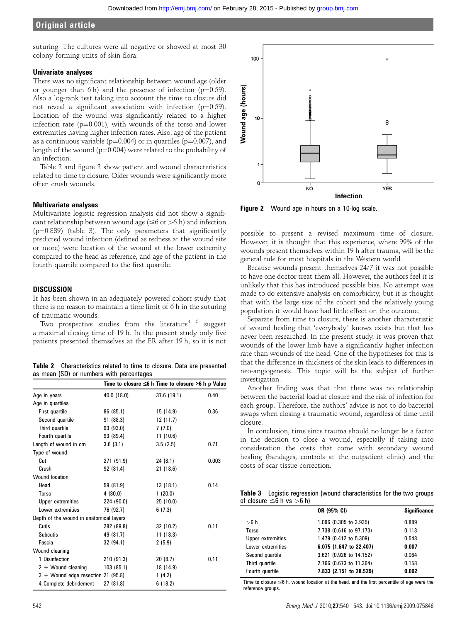## **Original article**

suturing. The cultures were all negative or showed at most 30 colony forming units of skin flora.

### Univariate analyses

There was no significant relationship between wound age (older or younger than 6 h) and the presence of infection  $(p=0.59)$ . Also a log-rank test taking into account the time to closure did not reveal a significant association with infection  $(p=0.59)$ . Location of the wound was significantly related to a higher infection rate  $(p=0.001)$ , with wounds of the torso and lower extremities having higher infection rates. Also, age of the patient as a continuous variable ( $p=0.004$ ) or in quartiles ( $p=0.007$ ), and length of the wound ( $p=0.004$ ) were related to the probability of an infection.

Table 2 and figure 2 show patient and wound characteristics related to time to closure. Older wounds were significantly more often crush wounds.

#### Multivariate analyses

Multivariate logistic regression analysis did not show a significant relationship between wound age ( $\leq 6$  or  $> 6$  h) and infection  $(p=0.889)$  (table 3). The only parameters that significantly predicted wound infection (defined as redness at the wound site or more) were location of the wound at the lower extremity compared to the head as reference, and age of the patient in the fourth quartile compared to the first quartile.

## **DISCUSSION**

It has been shown in an adequately powered cohort study that there is no reason to maintain a time limit of 6 h in the suturing of traumatic wounds.

Two prospective studies from the literature<sup>4 5</sup> suggest a maximal closing time of 19 h. In the present study only five patients presented themselves at the ER after 19 h, so it is not

Table 2 Characteristics related to time to closure. Data are presented as mean (SD) or numbers with percentages

|                                         |             | Time to closure $\leq 6$ h Time to closure >6 h p Value |       |
|-----------------------------------------|-------------|---------------------------------------------------------|-------|
| Age in years                            | 40.0 (18.0) | 37.6(19.1)                                              | 0.40  |
| Age in quartiles                        |             |                                                         |       |
| First quartile                          | 86 (85.1)   | 15 (14.9)                                               | 0.36  |
| Second quartile                         | 91 (88.3)   | 12(11.7)                                                |       |
| Third quartile                          | 93 (93.0)   | 7(7.0)                                                  |       |
| Fourth quartile                         | 93 (89.4)   | 11(10.6)                                                |       |
| Length of wound in cm                   | 3.6(3.1)    | 3.5(2.5)                                                | 0.71  |
| Type of wound                           |             |                                                         |       |
| Cut                                     | 271 (91.9)  | 24(8.1)                                                 | 0.003 |
| Crush                                   | 92 (81.4)   | 21 (18.6)                                               |       |
| <b>Wound location</b>                   |             |                                                         |       |
| Head                                    | 59 (81.9)   | 13(18.1)                                                | 0.14  |
| Torso                                   | 4(80.0)     | 1(20.0)                                                 |       |
| Upper extremities                       | 224 (90.0)  | 25(10.0)                                                |       |
| Lower extremities                       | 76 (92.7)   | 6(7.3)                                                  |       |
| Depth of the wound in anatomical layers |             |                                                         |       |
| Cutis                                   | 282 (89.8)  | 32 (10.2)                                               | 0.11  |
| Subcutis                                | 49 (81.7)   | 11(18.3)                                                |       |
| Fascia                                  | 32 (94.1)   | 2(5.9)                                                  |       |
| Wound cleaning                          |             |                                                         |       |
| 1 Disinfection                          | 210 (91.3)  | 20(8.7)                                                 | 0.11  |
| $2 +$ Wound cleaning                    | 103(85.1)   | 18 (14.9)                                               |       |
| $3 +$ Wound edge resection 21 (95.8)    |             | 1(4.2)                                                  |       |
| 4 Complete debridement                  | 27 (81.8)   | 6(18.2)                                                 |       |



Figure 2 Wound age in hours on a 10-log scale.

possible to present a revised maximum time of closure. However, it is thought that this experience, where 99% of the wounds present themselves within 19 h after trauma, will be the general rule for most hospitals in the Western world.

Because wounds present themselves 24/7 it was not possible to have one doctor treat them all. However, the authors feel it is unlikely that this has introduced possible bias. No attempt was made to do extensive analysis on comorbidity, but it is thought that with the large size of the cohort and the relatively young population it would have had little effect on the outcome.

Separate from time to closure, there is another characteristic of wound healing that 'everybody' knows exists but that has never been researched. In the present study, it was proven that wounds of the lower limb have a significantly higher infection rate than wounds of the head. One of the hypotheses for this is that the difference in thickness of the skin leads to differences in neo-angiogenesis. This topic will be the subject of further investigation.

Another finding was that that there was no relationship between the bacterial load at closure and the risk of infection for each group. Therefore, the authors' advice is not to do bacterial swaps when closing a traumatic wound, regardless of time until closure.

In conclusion, time since trauma should no longer be a factor in the decision to close a wound, especially if taking into consideration the costs that come with secondary wound healing (bandages, controls at the outpatient clinic) and the costs of scar tissue correction.

Table 3 Logistic regression (wound characteristics for the two groups of closure  $\leq$ 6 h vs  $>$ 6 h)

|                   | OR (95% CI)             | <b>Significance</b> |
|-------------------|-------------------------|---------------------|
| >6 h              | 1.096 (0.305 to 3.935)  | 0.889               |
| Torso             | 7.738 (0.616 to 97.173) | 0.113               |
| Upper extremities | 1.479 (0.412 to 5.309)  | 0.548               |
| Lower extremities | 6.075 (1.647 to 22.407) | 0.007               |
| Second quartile   | 3.621 (0.926 to 14.152) | 0.064               |
| Third quartile    | 2.766 (0.673 to 11.364) | 0.158               |
| Fourth quartile   | 7.833 (2.151 to 28.529) | 0.002               |

Time to closure  $\leq$ 6 h, wound location at the head, and the first percentile of age were the reference groups.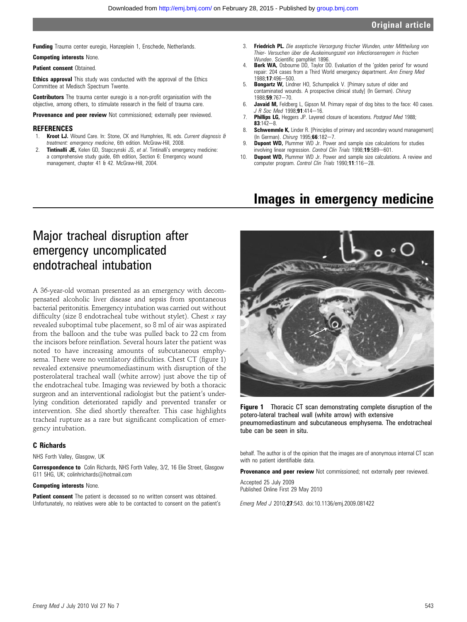## **Original article**

Funding Trauma center euregio, Hanzeplein 1, Enschede, Netherlands.

Competing interests None.

**Patient consent Obtained.** 

**Ethics approval** This study was conducted with the approval of the Ethics Committee at Medisch Spectrum Twente.

**Contributors** The trauma center euregio is a non-profit organisation with the objective, among others, to stimulate research in the field of trauma care.

Provenance and peer review Not commissioned; externally peer reviewed.

#### **REFERENCES**

- Kroot LJ. Wound Care. In: Stone, CK and Humphries, RL eds. Current diagnosis & treatment: emergency medicine, 6th edition. McGraw-Hill, 2008.
- 2. **Tintinalli JE,** Kelen GD, Stapczynski JS, et al. Tintinalli's emergency medicine: a comprehensive study guide, 6th edition, Section 6: Emergency wound management, chapter 41 & 42. McGraw-Hill, 2004.
- 3. **Friedrich PL.** Die aseptische Versorgung frischer Wunden, unter Mittheilung von Thier- Versuchen über die Auskeimungszeit von Infectionserregern in frischen Wunden. Scientific pamphlet 1896.
- 4. **Berk WA, Osbourne DD, Taylor DD. Evaluation of the 'golden period' for wound** repair: 204 cases from a Third World emergency department. Ann Emerg Med 1988:17:496-500.
- 5. Bongartz W, Lindner HO, Schumpelick V. [Primary suture of older and contaminated wounds. A prospective clinical study] (In German). Chirurg 1988;59:767-70.
- 6. Javaid M, Feldberg L, Gipson M. Primary repair of dog bites to the face: 40 cases. J R Soc Med 1998;91:414-16.
- 7. Phillips LG, Heggers JP. Layered closure of lacerations. Postgrad Med 1988;  $83:142 - 8.$
- 8. Schwemmle K, Linder R. [Principles of primary and secondary wound management] (In German). Chirurg 1995;66:182-7.
- 9. **Dupont WD,** Plummer WD Jr. Power and sample size calculations for studies involving linear regression. Control Clin Trials 1998;19:589-601.
- 10. **Dupont WD,** Plummer WD Jr. Power and sample size calculations. A review and computer program. Control Clin Trials 1990;11:116-28.

## Images in emergency medicine

## Major tracheal disruption after emergency uncomplicated endotracheal intubation

A 36-year-old woman presented as an emergency with decompensated alcoholic liver disease and sepsis from spontaneous bacterial peritonitis. Emergency intubation was carried out without difficulty (size 8 endotracheal tube without stylet). Chest  $x$  ray revealed suboptimal tube placement, so 8 ml of air was aspirated from the balloon and the tube was pulled back to 22 cm from the incisors before reinflation. Several hours later the patient was noted to have increasing amounts of subcutaneous emphysema. There were no ventilatory difficulties. Chest CT (figure 1) revealed extensive pneumomediastinum with disruption of the posterolateral tracheal wall (white arrow) just above the tip of the endotracheal tube. Imaging was reviewed by both a thoracic surgeon and an interventional radiologist but the patient's underlying condition deteriorated rapidly and prevented transfer or intervention. She died shortly thereafter. This case highlights tracheal rupture as a rare but significant complication of emergency intubation.

#### C Richards

NHS Forth Valley, Glasgow, UK

Correspondence to Colin Richards, NHS Forth Valley, 3/2, 16 Elie Street, Glasgow G11 5HG, UK; colinhrichards@hotmail.com

#### Competing interests None.

**Patient consent** The patient is deceased so no written consent was obtained. Unfortunately, no relatives were able to be contacted to consent on the patient's



**Figure 1** Thoracic CT scan demonstrating complete disruption of the potero-lateral tracheal wall (white arrow) with extensive pneumomediastinum and subcutaneous emphysema. The endotracheal tube can be seen in situ.

behalf. The author is of the opinion that the images are of anonymous internal CT scan with no patient identifiable data.

Provenance and peer review Not commissioned; not externally peer reviewed.

Accepted 25 July 2009 Published Online First 29 May 2010

Emerg Med J 2010;27:543. doi:10.1136/emj.2009.081422